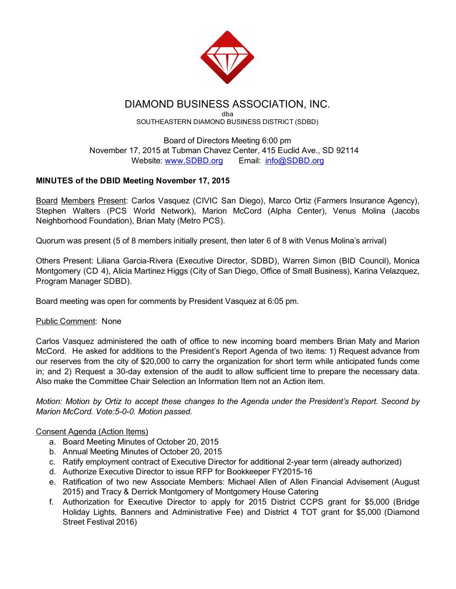

# DIAMOND BUSINESS ASSOCIATION, INC.

dba SOUTHEASTERN DIAMOND BUSINESS DISTRICT (SDBD)

Board of Directors Meeting 6:00 pm November 17, 2015 at Tubman Chavez Center, 415 Euclid Ave., SD 92114 Website: [www.SDBD.org](http://www.sdbd.org/) Email: [info@SDBD.org](mailto:info@SDBD.org)

# MINUTES of the DBID Meeting November 17, 2015

Board Members Present: Carlos Vasquez (CIVIC San Diego), Marco Ortiz (Farmers Insurance Agency), Stephen Walters (PCS World Network), Marion McCord (Alpha Center), Venus Molina (Jacobs Neighborhood Foundation), Brian Maty (Metro PCS).

Quorum was present (5 of 8 members initially present, then later 6 of 8 with Venus Molina's arrival)

Others Present: Liliana Garcia-Rivera (Executive Director, SDBD), Warren Simon (BID Council), Monica Montgomery (CD 4), Alicia Martinez Higgs (City of San Diego, Office of Small Business), Karina Velazquez, Program Manager SDBD).

Board meeting was open for comments by President Vasquez at 6:05 pm.

# Public Comment: None

Carlos Vasquez administered the oath of office to new incoming board members Brian Maty and Marion McCord. He asked for additions to the President's Report Agenda of two items: 1) Request advance from our reserves from the city of \$20,000 to carry the organization for short term while anticipated funds come in; and 2) Request a 30-day extension of the audit to allow sufficient time to prepare the necessary data. Also make the Committee Chair Selection an Information Item not an Action item.

*Motion: Motion by Ortiz to accept these changes to the Agenda under the President's Report. Second by Marion McCord. Vote: 5-0-0. Motion passed.* 

# Consent Agenda (Action Items)

- a. Board Meeting Minutes of October 20, 2015
- b. Annual Meeting Minutes of October 20, 2015
- c. Ratify employment contract of Executive Director for additional 2-year term (already authorized)
- d. Authorize Executive Director to issue RFP for Bookkeeper FY2015-16
- e. Ratification of two new Associate Members: Michael Allen of Allen Financial Advisement (August 2015) and Tracy & Derrick Montgomery of Montgomery House Catering
- f. Authorization for Executive Director to apply for 2015 District CCPS grant for \$5,000 (Bridge Holiday Lights, Banners and Administrative Fee) and District 4 TOT grant for \$5,000 (Diamond Street Festival 2016)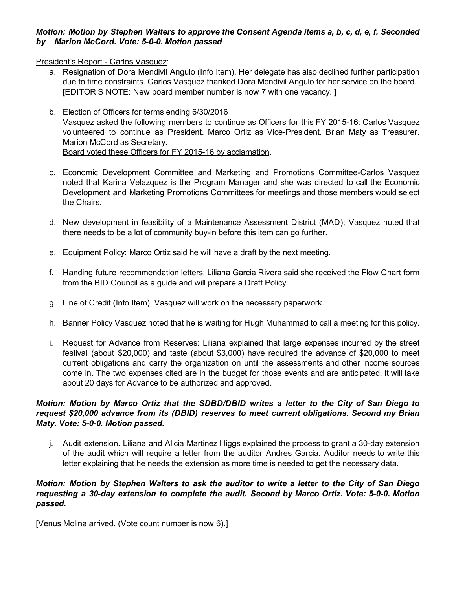## *Motion: Motion by Stephen Walters to approve the Consent Agenda items a, b, c, d, e, f. Seconded by Marion McCord. Vote: 500. Motion passed*

President's Report - Carlos Vasquez:

- a. Resignation of Dora Mendivil Angulo (Info Item). Her delegate has also declined further participation due to time constraints. Carlos Vasquez thanked Dora Mendivil Angulo for her service on the board. [EDITOR'S NOTE: New board member number is now 7 with one vacancy. ]
- b. Election of Officers for terms ending 6/30/2016 Vasquez asked the following members to continue as Officers for this FY 2015-16: Carlos Vasquez volunteered to continue as President. Marco Ortiz as Vice-President. Brian Maty as Treasurer. Marion McCord as Secretary. Board voted these Officers for FY 2015-16 by acclamation.
- c. Economic Development Committee and Marketing and Promotions CommitteeCarlos Vasquez noted that Karina Velazquez is the Program Manager and she was directed to call the Economic Development and Marketing Promotions Committees for meetings and those members would select the Chairs.
- d. New development in feasibility of a Maintenance Assessment District (MAD); Vasquez noted that there needs to be a lot of community buy-in before this item can go further.
- e. Equipment Policy: Marco Ortiz said he will have a draft by the next meeting.
- f. Handing future recommendation letters: Liliana Garcia Rivera said she received the Flow Chart form from the BID Council as a guide and will prepare a Draft Policy.
- g. Line of Credit (Info Item). Vasquez will work on the necessary paperwork.
- h. Banner Policy Vasquez noted that he is waiting for Hugh Muhammad to call a meeting for this policy.
- i. Request for Advance from Reserves: Liliana explained that large expenses incurred by the street festival (about \$20,000) and taste (about \$3,000) have required the advance of \$20,000 to meet current obligations and carry the organization on until the assessments and other income sources come in. The two expenses cited are in the budget for those events and are anticipated. It will take about 20 days for Advance to be authorized and approved.

#### *Motion: Motion by Marco Ortiz that the SDBD/DBID writes a letter to the City of San Diego to request \$20,000 advance from its (DBID) reserves to meet current obligations. Second my Brian Maty. Vote: 500. Motion passed.*

j. Audit extension. Liliana and Alicia Martinez Higgs explained the process to grant a 30-day extension of the audit which will require a letter from the auditor Andres Garcia. Auditor needs to write this letter explaining that he needs the extension as more time is needed to get the necessary data.

#### Motion: Motion by Stephen Walters to ask the auditor to write a letter to the City of San Diego *requesting a 30day extension to complete the audit. Second by Marco Ortiz. Vote: 500. Motion passed.*

[Venus Molina arrived. (Vote count number is now 6).]